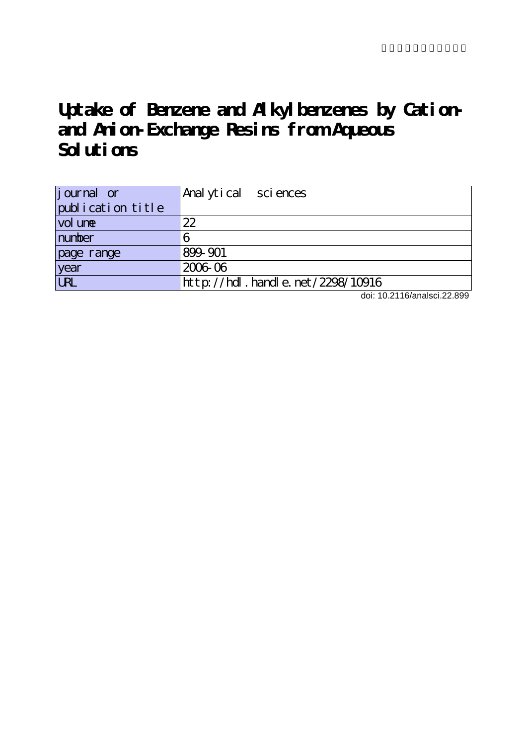# **Uptake of Benzene and Alkylbenzenes by Cationand Anion-Exchange Resins from Aqueous Solutions**

| <i>j</i> ournal or | Analytical sciences              |
|--------------------|----------------------------------|
| publication title  |                                  |
| vol une            | 22                               |
| number             |                                  |
| page range         | 899-901                          |
| year               | 2006 06                          |
| <b>URL</b>         | http://hdl.handle.net/2298/10916 |

doi: 10.2116/analsci.22.899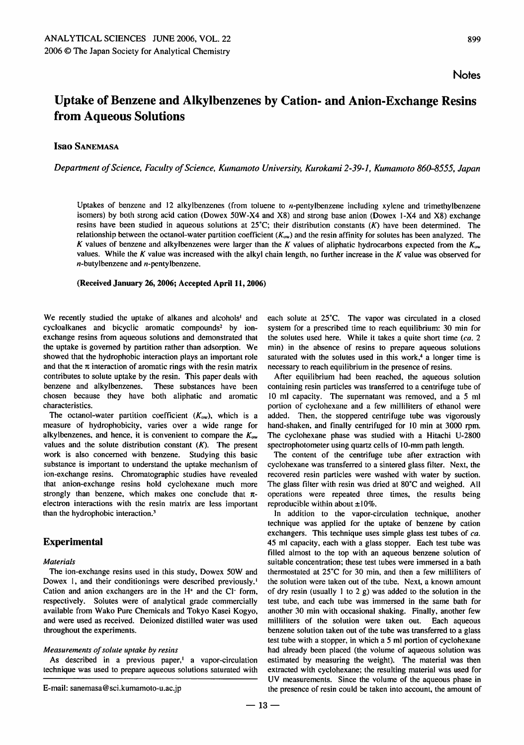## Uptake of Benzene and Alkylbenzenes by Cation- and Anion-Exchange Resins from Aqueous Solutions

Isao Sanemasa

Department of Science, Faculty of Science, Kumamoto University, Kurokami 2-39-1, Kumamoto 860-8555, Japan

Uptakes of benzene and 12 alkylbenzenes (from toluene to *n*-pentylbenzene including xylene and trimethylbenzene isomers) by both strong acid cation (Dowex 50W-X4 and X8) and strong base anion (Dowex 1-X4 and X8) exchange resins have been studied in aqueous solutions at  $25^{\circ}$ C; their distribution constants  $(K)$  have been determined. The relationship between the octanol-water partition coefficient  $(K_{ow})$  and the resin affinity for solutes has been analyzed. The K values of benzene and alkylbenzenes were larger than the K values of aliphatic hydrocarbons expected from the  $K_{\text{ow}}$ values. While the K value was increased with the alkyl chain length, no further increase in the K value was observed for  $n$ -butylbenzene and  $n$ -pentylbenzene.

#### (Received January 26,2006; Accepted April 11,2006)

We recently studied the uptake of alkanes and alcohols<sup>1</sup> and cycloalkanes and bicyclic aromatic compounds<sup>2</sup> by ionexchange resins from aqueous solutions and demonstrated that the uptake is governed by partition rather than adsorption. We showed that the hydrophobic interaction plays an important role and that the  $\pi$  interaction of aromatic rings with the resin matrix contributes to solute uptake by the resin. This paper deals with benzene and alkylbenzenes. These substances have been chosen because they have both aliphatic and aromatic characteristics.

The octanol-water partition coefficient  $(K_{ow})$ , which is a measure of hydrophobicity, varies over a wide range for alkylbenzenes, and hence, it is convenient to compare the  $K_{\text{ow}}$ values and the solute distribution constant  $(K)$ . The present work is also concerned with benzene. Studying this basic substance is important to understand the uptake mechanism of ion-exchange resins. Chromatographic studies have revealed that anion-exchange resins hold cyclohexane much more strongly than benzene, which makes one conclude that  $\pi$ electron interactions with the resin matrix are less important than the hydrophobic interaction.3

### Experimental

#### Materials

The ion-exchange resins used in this study, Dowex 50W and Dowex 1, and their conditionings were described previously.1 Cation and anion exchangers are in the  $H<sup>+</sup>$  and the Cl<sup>-</sup> form, respectively. Solutes were of analytical grade commercially available from Wako Pure Chemicals and Tokyo Kasei Kogyo, and were used as received. Deionized distilled water was used throughout the experiments.

#### Measurements of solute uptake by resins

As described in a previous paper, $\frac{1}{1}$  a vapor-circulation technique was used to prepare aqueous solutions saturated with each solute at  $25^{\circ}$ C. The vapor was circulated in a closed system for a prescribed time to reach equilibrium: 30 min for the solutes used here. While it takes a quite short time  $(ca, 2]$ min) in the absence of resins to prepare aqueous solutions saturated with the solutes used in this work, $4$  a longer time is necessary to reach equilibrium in the presence of resins.

After equilibrium had been reached, the aqueous solution containing resin particles was transferred to a centrifuge tube of 10 ml capacity. The supernatant was removed, and a 5 ml portion of cyclohexane and a few milliliters of ethanol were added. Then, the stoppered centrifuge tube was vigorously hand-shaken, and finally centrifuged for 10 min at 3000 rpm. The cyclohexane phase was studied with a Hitachi U-2800 spectrophotometer using quartz cells of 10-mm path length.

The content of the centrifuge tube after extraction with cyclohexane was transferred to a sintered glass filter. Next, the recovered resin particles were washed with water by suction. The glass filter with resin was dried at 80°C and weighed. All operations were repeated three times, the results being reproducible within about  $\pm 10\%$ .

In addition to the vapor-circulation technique, another technique was applied for the uptake of benzene by cation exchangers. This technique uses simple glass test tubes of ca. 45 ml capacity, each with a glass stopper. Each test tube was filled almost to the top with an aqueous benzene solution of suitable concentration; these test tubes were immersed in a bath thermostated at  $25^{\circ}$ C for 30 min, and then a few milliliters of the solution were taken out of the tube. Next, a known amount of dry resin (usually  $1$  to  $2$  g) was added to the solution in the test tube, and each tube was immersed in the same bath for another 30 min with occasional shaking. Finally, another few milliliters of the solution were taken out. Each aqueous benzene solution taken out of the tube was transferred to a glass test tube with a stopper, in which a  $5$  ml portion of cyclohexane had already been placed (the volume of aqueous solution was estimated by measuring the weight). The material was then extracted with cyclohexane; the resulting material was used for UV measurements. Since the volume of the aqueous phase in the presence of resin could be taken into account, the amount of

E-mail: sanemasa@sci.kumamoto-u.ac.jp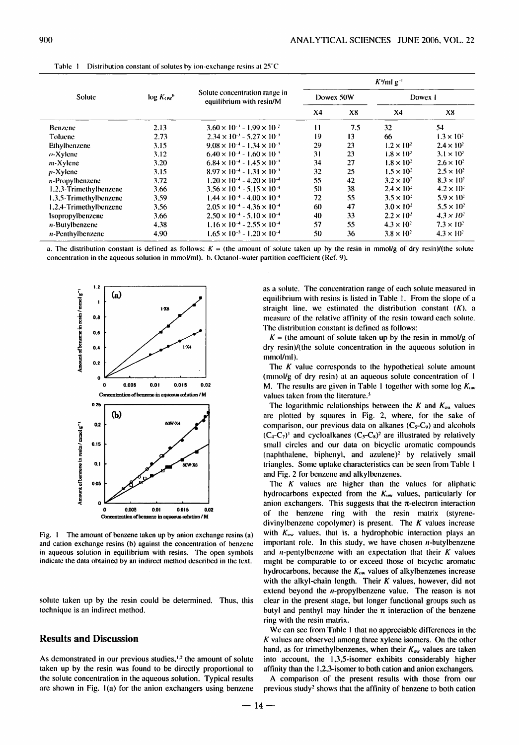|                        | log K <sub>ow</sub> | Solute concentration range in<br>equilibrium with resin/M | $Ky$ ml g <sup>-t</sup> |     |                     |                     |
|------------------------|---------------------|-----------------------------------------------------------|-------------------------|-----|---------------------|---------------------|
| Solute                 |                     |                                                           | Dowex 50W               |     | Dowex 1             |                     |
|                        |                     |                                                           | X <sub>4</sub>          | X8  | X <sub>4</sub>      | X8                  |
| Benzene                | 2.13                | $3.60 \times 10^{-3} - 1.99 \times 10^{-2}$               | $\mathbf{11}$           | 7.5 | 32                  | 54                  |
| Toluene                | 2.73                | $2.34 \times 10^{-1} - 5.27 \times 10^{-1}$               | 19                      | 13  | 66                  | $1.3 \times 10^{3}$ |
| Ethylbenzene           | 3.15                | $9.08 \times 10^{-4} - 1.34 \times 10^{-3}$               | 29                      | 23  | $1.2 \times 10^2$   | $2.4 \times 10^2$   |
| $o$ -Xylene            | 3.12                | $6.40 \times 10^{-4} - 1.60 \times 10^{-4}$               | 31                      | 23  | $1.8 \times 10^{2}$ | $3.1 \times 10^{3}$ |
| $m$ -Xylene            | 3.20                | $6.84 \times 10^{-4} - 1.45 \times 10^{-3}$               | 34                      | 27  | $1.8 \times 10^{2}$ | $2.6 \times 10^2$   |
| $p$ -Xylene            | 3.15                | $8.97 \times 10^{-4} - 1.31 \times 10^{-4}$               | 32                      | 25  | $1.5 \times 10^{2}$ | $2.5 \times 10^{2}$ |
| n-Propylbenzene        | 3.72                | $1.20 \times 10^{-4}$ = 4.20 $\times 10^{-4}$             | 55                      | 42  | $3.2 \times 10^2$   | $8.3 \times 10^{2}$ |
| 1,2,3-Trimethylbenzene | 3.66                | $3.56 \times 10^{-4} - 5.15 \times 10^{-4}$               | 50                      | 38  | $2.4 \times 10^{2}$ | $4.2 \times 10^{2}$ |
| 1.3.5-Trimethylbenzene | 3.59                | $1.44 \times 10^{-4}$ - $4.00 \times 10^{-4}$             | 72                      | 55  | $3.5 \times 10^{2}$ | $5.9 \times 10^2$   |
| 1,2,4-Trimethylbenzene | 3.56                | $2.05 \times 10^{-4} - 4.36 \times 10^{-4}$               | 60                      | 47  | $3.0 \times 10^{2}$ | $5.5 \times 10^2$   |
| <i>sopropylbenzene</i> | 3.66                | $2.50 \times 10^{-4} - 5.10 \times 10^{-4}$               | 40                      | 33  | $2.2 \times 10^{2}$ | $4.3 \times 10^{2}$ |
| $n$ -Butylbenzene      | 4.38                | $1.16 \times 10^{-4} - 2.55 \times 10^{-4}$               | 57                      | 55  | $4.3 \times 10^{2}$ | $7.3 \times 10^{2}$ |
| $n$ -Penthylbenzene    | 4.90                | $1.65 \times 10^{-5} - 1.20 \times 10^{-4}$               | 50                      | 36  | $3.8 \times 10^{2}$ | $4.3 \times 10^{3}$ |

Table 1 Distribution constant of solutes by ion-exchange resins at 25°C

a. The distribution constant is defined as follows:  $K =$  (the amount of solute taken up by the resin in mmol/g of dry resin)/(the solute concentration in the aqueous solution in mmol/ml). b. Octanol-water partition coefficient (Ref. 9).



Fig. 1 The amount of benzene taken up by anion exchange resins (a) and cation exchange resins (b) against the concentration of benzene in aqueous solution in equilibrium with resins. The open symbols indicate the data obtained by an indirect method described in the text.

solute taken up by the resin could be determined. Thus, this technique is an indirect method.

#### **Results and Discussion**

As demonstrated in our previous studies,<sup>1,2</sup> the amount of solute taken up by the resin was found to be directly proportional to the solute concentration in the aqueous solution. Typical results are shown in Fig. 1(a) for the anion exchangers using benzene as a solute. The concentration range of each solute measured in equilibrium with resins is listed in Table 1. From the slope of a straight line, we estimated the distribution constant  $(K)$ , a measure of the relative affinity of the resin toward each solute. The distribution constant is defined as follows:

 $K =$  (the amount of solute taken up by the resin in mmol/g of dry resin)/(the solute concentration in the aqueous solution in mmol/ml).

The  $K$  value corresponds to the hypothetical solute amount (mmol/g of dry resin) at an aqueous solute concentration of 1 M. The results are given in Table 1 together with some log  $K_{ow}$ values taken from the literature.<sup>5</sup>

The logarithmic relationships between the  $K$  and  $K_{\text{ow}}$  values are plotted by squares in Fig. 2, where, for the sake of comparison, our previous data on alkanes  $(C<sub>5</sub>-C<sub>9</sub>)$  and alcohols  $(C_4-C_7)^1$  and cycloalkanes  $(C_5-C_8)^2$  are illustrated by relatively small circles and our data on bicyclic aromatic compounds (naphthalene, biphenyl, and azulene)<sup>2</sup> by relatively small triangles. Some uptake characteristics can be seen from Table 1 and Fig. 2 for benzene and alkylbenzenes.

The  $K$  values are higher than the values for aliphatic hydrocarbons expected from the  $K_{ow}$  values, particularly for anion exchangers. This suggests that the  $\pi$ -electron interaction of the benzene ring with the resin matrix (styrenedivinylbenzene copolymer) is present. The  $K$  values increase with  $K_{ow}$  values, that is, a hydrophobic interaction plays an important role. In this study, we have chosen  $n$ -butylbenzene and *n*-pentylbenzene with an expectation that their  $K$  values might be comparable to or exceed those of bicyclic aromatic hydrocarbons, because the  $K_{ow}$  values of alkylbenzenes increase with the alkyl-chain length. Their  $K$  values, however, did not extend beyond the *n*-propylbenzene value. The reason is not clear in the present stage, but longer functional groups such as butyl and penthyl may hinder the  $\pi$  interaction of the benzene ring with the resin matrix.

We can see from Table 1 that no appreciable differences in the  $K$  values are observed among three xylene isomers. On the other hand, as for trimethylbenzenes, when their  $K_{ow}$  values are taken into account, the 1,3,5-isomer exhibits considerably higher affinity than the 1,2,3-isomer to both cation and anion exchangers.

A comparison of the present results with those from our previous study<sup>2</sup> shows that the affinity of benzene to both cation